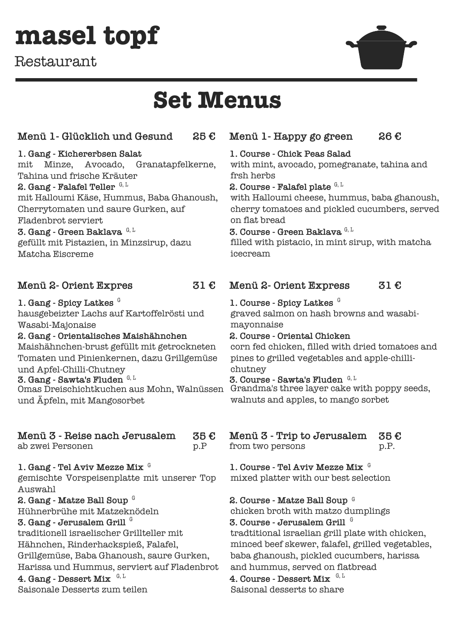Restaurant



# Set Menus

### Menü 1- Glücklich und Gesund  $25 \text{ E}$

#### 1. Gang - Kichererbsen Salat

mit Minze, Avocado, Granatapfelkerne, Tahina und frische Kräuter 2. Gang - Falafel Teller  $G, L$ mit Halloumi Käse, Hummus, Baba Ghanoush, Cherrytomaten und saure Gurken, auf Fladenbrot serviert

#### 3. Gang - Green Baklava

gefüllt mit Pistazien, in Minzsirup, dazu Matcha Eiscreme

1. Gang - Spicy Latkes <sup>G</sup> hausgebeizter Lachs auf Kartoffelrösti und Wasabi-Majonaise

#### 2. Gang - Orientalisches Maishähnchen

Maishähnchen-brust gefüllt mit getrockneten Tomaten und Pinienkernen, dazu Grillgemüse und Apfel-Chilli-Chutney

3. Gang - Sawta's Fluden  $G, L$ 

Omas Dreischichtkuchen aus Mohn, Walnüssen und Äpfeln, mit Mangosorbet

#### Menü 3 - Reise nach Jerusalem 35  $\epsilon$

1. Gang - Tel Aviv Mezze Mix gemischte Vorspeisenplatte mit unserer Top Auswahl

2. Gang - Matze Ball Soup<sup>G</sup>

Hühnerbrühe mit Matzeknödeln chicken broth with matzo dumplings 3. Gang - Jerusalem Grill  $^{\textrm{\tiny{G}}}$ traditionell israelischer Grillteller mit Hähnchen, Rinderhackspieß, Falafel, Grillgemüse, Baba Ghanoush, saure Gurken, Harissa und Hummus, serviert auf Fladenbrot 4. Gang - Dessert Mix  $^{G, L}$ Saisonale Desserts zum teilen Saisonal desserts to share

#### Menü 1- Happy go green  $26 \in$

1. Course - Chick Peas Salad

with mint, avocado, pomegranate, tahina and frsh herbs

#### $\mathbf{2.} \text{ Course - Falafel plate}$   $^{G, L}$

with Halloumi cheese, hummus, baba ghanoush, cherry tomatoes and pickled cucumbers, served on flat bread

 $\mathbf{G}, \mathbf{L}$  and  $\mathbf{S}$ . Course - Green Baklava  $^{\mathbf{G},\,\mathbf{L}}$ 

filled with pistacio, in mint sirup, with matcha icecream

#### Menü 2- Orient Expres  $\begin{array}{cl} 31 \in \end{array}$  Menü 2- Orient Express  $\begin{array}{cl} 31 \in \end{array}$

 $1.\ {\rm Course}\cdot{\rm Spicy}\ {\rm Lattkes}^{\rm G}$ 

graved salmon on hash browns and wasabimayonnaise

#### 2. Course - Oriental Chicken

corn fed chicken, filled with dried tomatoes and pines to grilled vegetables and apple-chillichutney

 $G, L$  **3. Course - Sawta's Fluden**  $G, L$ 

Grandma's three layer cake with poppy seeds, walnuts and apples, to mango sorbet

#### Menü 3 - Trip to Jerusalem 35  $\epsilon$ ab zwei Personen p.P from two persons p.P.

mixed platter with our best selection  $\bf d$   $\bf 1. \bf{Course}$  - Tel Aviv Mezze Mix  $\bf G$ 

2. Course - Matze Ball Soup G G

tradtitional israelian grill plate with chicken, minced beef skewer, falafel, grilled vegetables, baba ghanoush, pickled cucumbers, harissa and hummus, served on flatbread  $^{\textrm{\tiny{G}}}$  3. Course - Jerusalem Grill  $^{\textrm{\tiny{G}}}$ 

### $\mathbf{q}, \mathbf{L}$  and  $\mathbf{q}$ . Course - Dessert Mix  $\mathbf{q}, \mathbf{L}$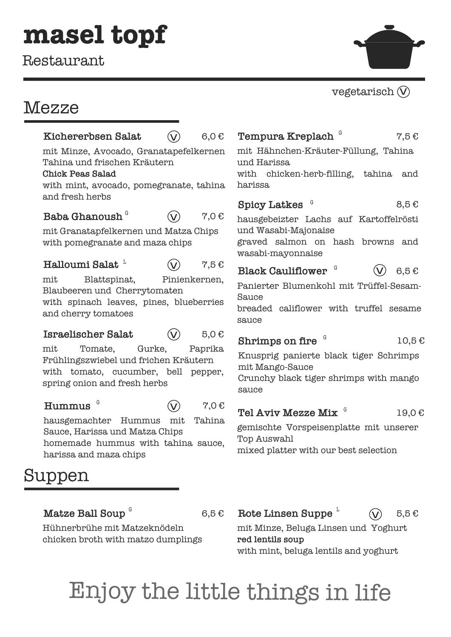Restaurant

## Mezze



## Suppen

Matze Ball Soup<sup>6</sup>

Hühnerbrühe mit Matzeknödeln chicken broth with matzo dumplings

 $6,5\in$  Rote Linsen Suppe  $^{\text{\tiny L}}$ 5,5 €  $\widehat{\mathsf{V}}$ 

> mit Minze, Beluga Linsen und Yoghurt red lentils soup with mint, beluga lentils and yoghurt

# Enjoy the little things in life

### vegetarisch  $\mathcal{V}$

7,5 €

8,5 €

hausgebeizter Lachs auf Kartoffelrösti

graved salmon on hash browns and

#### 6,5 €  $\widehat{\bm{\mathsf{V}}}$

Panierter Blumenkohl mit Trüffel-Sesam-

breaded califlower with truffel sesame

### 10,5 €

Crunchy black tiger shrimps with mango

19,0 €

mixed platter with our best selection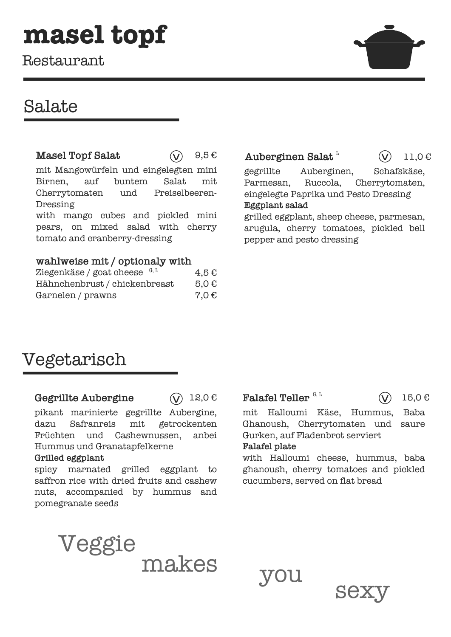Restaurant

## Salate

#### Masel Topf Salat

9,5 €

mit Mangowürfeln und eingelegten mini Birnen, auf buntem Salat mit Cherrytomaten und Preiselbeeren-Dressing

with mango cubes and pickled mini pears, on mixed salad with cherry tomato and cranberry-dressing

#### wahlweise mit / optionaly with

| Ziegenkäse / goat cheese $\frac{G,L}{L}$ | $4,5 \in$          |
|------------------------------------------|--------------------|
| Hähnchenbrust / chickenbreast            | $5,0 \in$          |
| Garnelen / prawns                        | $7.0 \text{ } \in$ |

### $\widehat{\mathsf{V}}$  9,5  $\epsilon$  **Auberginen Salat**  $\widehat{\mathsf{V}}$  11,0  $\epsilon$

 $\widehat{\mathsf{V}}$ 

gegrillte Auberginen, Schafskäse, Parmesan, Ruccola, Cherrytomaten, eingelegte Paprika und Pesto Dressing Eggplant salad

grilled eggplant, sheep cheese, parmesan, arugula, cherry tomatoes, pickled bell pepper and pesto dressing

## Vegetarisch

#### Gegrillte Aubergine

 $\mathcal{U}$ 

pikant marinierte gegrillte Aubergine, dazu Safranreis mit getrockenten Früchten und Cashewnussen, anbei Hummus und Granatapfelkerne

#### Grilled eggplant

spicy marnated grilled eggplant to saffron rice with dried fruits and cashew nuts, accompanied by hummus and pomegranate seeds

### $12,0 \in$  **Falafel Teller**  $^{G,L}$

15,0 €

 $\widehat{\mathsf{V}}$ 

mit Halloumi Käse, Hummus, Baba Ghanoush, Cherrytomaten und saure Gurken, auf Fladenbrot serviert

#### Falafel plate

with Halloumi cheese, hummus, baba ghanoush, cherry tomatoes and pickled cucumbers, served on flat bread

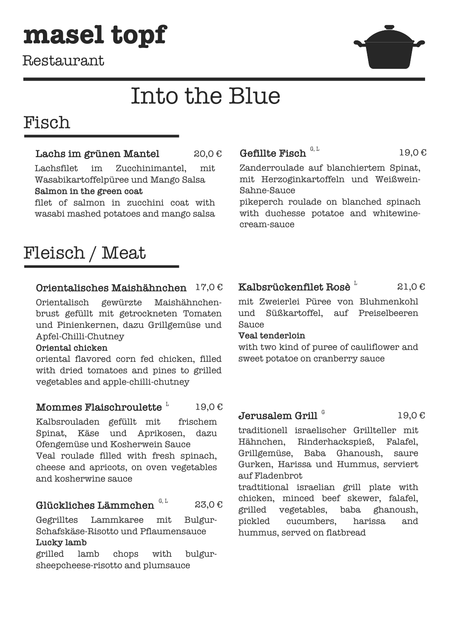Restaurant



# Into the Blue

## Fisch

#### Lachs im grünen Mantel  $20,0 \in$  Gefillte Fisch  $\mathbb{R}^4$   $\qquad \qquad 19,0 \in$ 20,0 €

Lachsfilet im Zucchinimantel, mit Wasabikartoffelpüree und Mango Salsa Salmon in the green coat

filet of salmon in zucchini coat with wasabi mashed potatoes and mango salsa

## Fleisch / Meat

#### Orientalisches Maishähnchen 17,0 €

Orientalisch gewürzte Maishähnchenbrust gefüllt mit getrockneten Tomaten und Pinienkernen, dazu Grillgemüse und Apfel-Chilli-Chutney

#### Oriental chicken

oriental flavored corn fed chicken, filled with dried tomatoes and pines to grilled vegetables and apple-chilli-chutney

#### ${\bf Moments~Fla}$ ischroulette  $^{\mathtt{L}}$ 19,0 €

Kalbsrouladen gefüllt mit frischem Spinat, Käse und Aprikosen, dazu Ofengemüse und Kosherwein Sauce Veal roulade filled with fresh spinach, cheese and apricots, on oven vegetables and kosherwine sauce

#### Glückliches Lämmchen 23,0 € G, L

Gegrilltes Lammkaree mit Bulgur-Schafskäse-Risotto und Pflaumensauce Lucky lamb

grilled lamb chops with bulgursheepcheese-risotto and plumsauce

### Gefillte Fisch  $^{\mathbb{G},\,L}$

Zanderroulade auf blanchiertem Spinat, mit Herzoginkartoffeln und Weißwein-Sahne-Sauce

pikeperch roulade on blanched spinach with duchesse potatoe and whitewinecream-sauce

### Kalbsrückenfilet Rosè  ${}^{\mathrm{L}}$

21,0 €

mit Zweierlei Püree von Bluhmenkohl und Süßkartoffel, auf Preiselbeeren **Sauce** 

#### Veal tenderloin

with two kind of puree of cauliflower and sweet potatoe on cranberry sauce

#### Jerusalem Grill  $^\mathrm{G}$

19,0 €

traditionell israelischer Grillteller mit Hähnchen, Rinderhackspieß, Falafel, Grillgemüse, Baba Ghanoush, saure Gurken, Harissa und Hummus, serviert auf Fladenbrot

tradtitional israelian grill plate with chicken, minced beef skewer, falafel, grilled vegetables, baba ghanoush, pickled cucumbers, harissa and hummus, served on flatbread